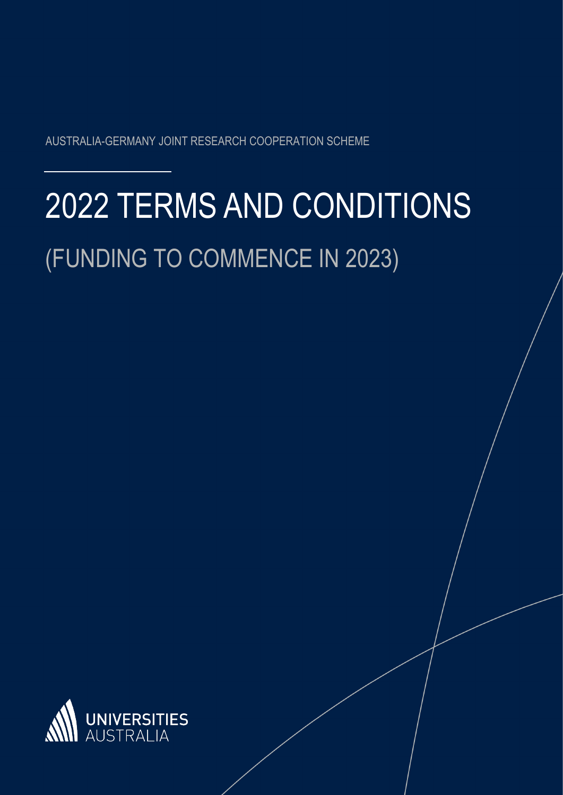AUSTRALIA-GERMANY JOINT RESEARCH COOPERATION SCHEME

# 2022 TERMS AND CONDITIONS (FUNDING TO COMMENCE IN 2023)

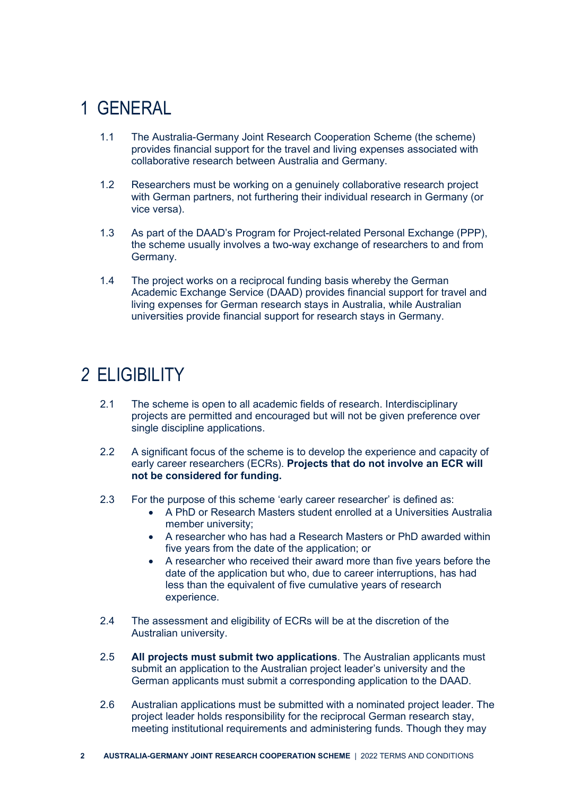# 1 GENERAL

- 1.1 The Australia-Germany Joint Research Cooperation Scheme (the scheme) provides financial support for the travel and living expenses associated with collaborative research between Australia and Germany.
- 1.2 Researchers must be working on a genuinely collaborative research project with German partners, not furthering their individual research in Germany (or vice versa).
- 1.3 As part of the DAAD's Program for Project-related Personal Exchange (PPP), the scheme usually involves a two-way exchange of researchers to and from Germany.
- 1.4 The project works on a reciprocal funding basis whereby the German Academic Exchange Service (DAAD) provides financial support for travel and living expenses for German research stays in Australia, while Australian universities provide financial support for research stays in Germany.

# *2* ELIGIBILITY

- 2.1 The scheme is open to all academic fields of research. Interdisciplinary projects are permitted and encouraged but will not be given preference over single discipline applications.
- 2.2 A significant focus of the scheme is to develop the experience and capacity of early career researchers (ECRs). **Projects that do not involve an ECR will not be considered for funding.**
- 2.3 For the purpose of this scheme 'early career researcher' is defined as:
	- A PhD or Research Masters student enrolled at a Universities Australia member university;
	- A researcher who has had a Research Masters or PhD awarded within five years from the date of the application; or
	- A researcher who received their award more than five years before the date of the application but who, due to career interruptions, has had less than the equivalent of five cumulative years of research experience.
- 2.4 The assessment and eligibility of ECRs will be at the discretion of the Australian university.
- 2.5 **All projects must submit two applications**. The Australian applicants must submit an application to the Australian project leader's university and the German applicants must submit a corresponding application to the DAAD.
- 2.6 Australian applications must be submitted with a nominated project leader. The project leader holds responsibility for the reciprocal German research stay, meeting institutional requirements and administering funds. Though they may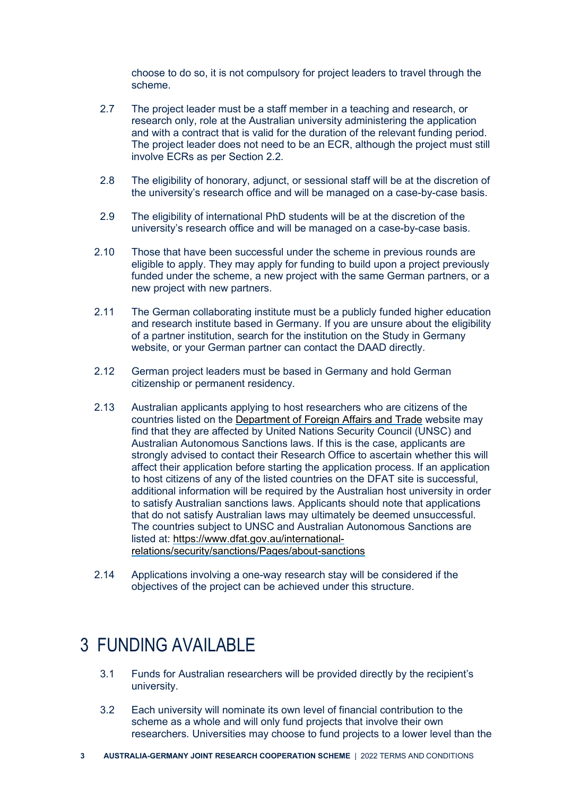choose to do so, it is not compulsory for project leaders to travel through the scheme.

- 2.7 The project leader must be a staff member in a teaching and research, or research only, role at the Australian university administering the application and with a contract that is valid for the duration of the relevant funding period. The project leader does not need to be an ECR, although the project must still involve ECRs as per Section 2.2.
- 2.8 The eligibility of honorary, adjunct, or sessional staff will be at the discretion of the university's research office and will be managed on a case-by-case basis.
- 2.9 The eligibility of international PhD students will be at the discretion of the university's research office and will be managed on a case-by-case basis.
- 2.10 Those that have been successful under the scheme in previous rounds are eligible to apply. They may apply for funding to build upon a project previously funded under the scheme, a new project with the same German partners, or a new project with new partners.
- 2.11 The German collaborating institute must be a publicly funded higher education and research institute based in Germany. If you are unsure about the eligibility of a partner institution, search for the institution on the Study in Germany website, or your German partner can contact the DAAD directly.
- 2.12 German project leaders must be based in Germany and hold German citizenship or permanent residency.
- 2.13 Australian applicants applying to host researchers who are citizens of the countries listed on the [Department of Foreign Affairs and Trade](https://dfat.gov.au/international-relations/security/sanctions/pages/sanctions.aspx) website may find that they are affected by United Nations Security Council (UNSC) and Australian Autonomous Sanctions laws. If this is the case, applicants are strongly advised to contact their Research Office to ascertain whether this will affect their application before starting the application process. If an application to host citizens of any of the listed countries on the DFAT site is successful, additional information will be required by the Australian host university in order to satisfy Australian sanctions laws. Applicants should note that applications that do not satisfy Australian laws may ultimately be deemed unsuccessful. The countries subject to UNSC and Australian Autonomous Sanctions are listed at: [https://www.dfat.gov.au/international](https://www.dfat.gov.au/international-relations/security/sanctions/Pages/about-sanctions)[relations/security/sanctions/Pages/about-sanctions](https://www.dfat.gov.au/international-relations/security/sanctions/Pages/about-sanctions)
- 2.14 Applications involving a one-way research stay will be considered if the objectives of the project can be achieved under this structure.

#### 3 FUNDING AVAILABLE

- 3.1 Funds for Australian researchers will be provided directly by the recipient's university.
- 3.2 Each university will nominate its own level of financial contribution to the scheme as a whole and will only fund projects that involve their own researchers. Universities may choose to fund projects to a lower level than the
- **3 AUSTRALIA-GERMANY JOINT RESEARCH COOPERATION SCHEME** | 2022 TERMS AND CONDITIONS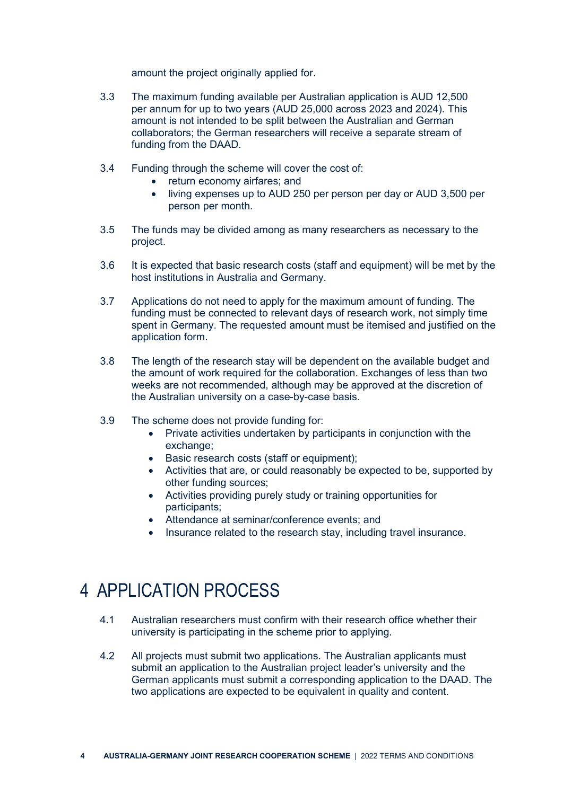amount the project originally applied for.

- 3.3 The maximum funding available per Australian application is AUD 12,500 per annum for up to two years (AUD 25,000 across 2023 and 2024). This amount is not intended to be split between the Australian and German collaborators; the German researchers will receive a separate stream of funding from the DAAD.
- 3.4 Funding through the scheme will cover the cost of:
	- return economy airfares; and
	- living expenses up to AUD 250 per person per day or AUD 3,500 per person per month.
- 3.5 The funds may be divided among as many researchers as necessary to the project.
- 3.6 It is expected that basic research costs (staff and equipment) will be met by the host institutions in Australia and Germany.
- 3.7 Applications do not need to apply for the maximum amount of funding. The funding must be connected to relevant days of research work, not simply time spent in Germany. The requested amount must be itemised and justified on the application form.
- 3.8 The length of the research stay will be dependent on the available budget and the amount of work required for the collaboration. Exchanges of less than two weeks are not recommended, although may be approved at the discretion of the Australian university on a case-by-case basis.
- 3.9 The scheme does not provide funding for:
	- Private activities undertaken by participants in conjunction with the exchange:
	- Basic research costs (staff or equipment);
	- Activities that are, or could reasonably be expected to be, supported by other funding sources;
	- Activities providing purely study or training opportunities for participants;
	- Attendance at seminar/conference events; and
	- Insurance related to the research stay, including travel insurance.

# 4 APPLICATION PROCESS

- 4.1 Australian researchers must confirm with their research office whether their university is participating in the scheme prior to applying.
- 4.2 All projects must submit two applications. The Australian applicants must submit an application to the Australian project leader's university and the German applicants must submit a corresponding application to the DAAD. The two applications are expected to be equivalent in quality and content.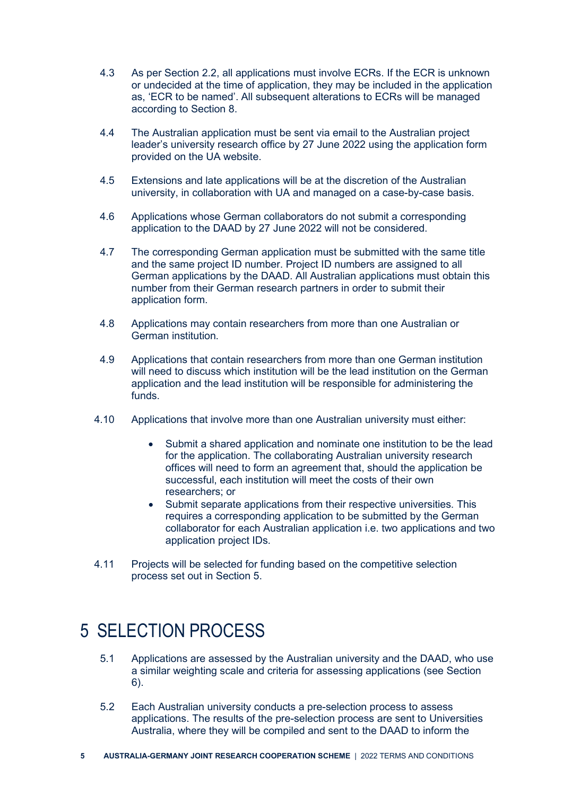- 4.3 As per Section 2.2, all applications must involve ECRs. If the ECR is unknown or undecided at the time of application, they may be included in the application as, 'ECR to be named'. All subsequent alterations to ECRs will be managed according to Section 8.
- 4.4 The Australian application must be sent via email to the Australian project leader's university research office by 27 June 2022 using the application form provided on the UA website.
- 4.5 Extensions and late applications will be at the discretion of the Australian university, in collaboration with UA and managed on a case-by-case basis.
- 4.6 Applications whose German collaborators do not submit a corresponding application to the DAAD by 27 June 2022 will not be considered.
- 4.7 The corresponding German application must be submitted with the same title and the same project ID number. Project ID numbers are assigned to all German applications by the DAAD. All Australian applications must obtain this number from their German research partners in order to submit their application form.
- 4.8 Applications may contain researchers from more than one Australian or German institution.
- 4.9 Applications that contain researchers from more than one German institution will need to discuss which institution will be the lead institution on the German application and the lead institution will be responsible for administering the funds.
- 4.10 Applications that involve more than one Australian university must either:
	- Submit a shared application and nominate one institution to be the lead for the application. The collaborating Australian university research offices will need to form an agreement that, should the application be successful, each institution will meet the costs of their own researchers; or
	- Submit separate applications from their respective universities. This requires a corresponding application to be submitted by the German collaborator for each Australian application i.e. two applications and two application project IDs.
- 4.11 Projects will be selected for funding based on the competitive selection process set out in Section 5.

# 5 SELECTION PROCESS

- 5.1 Applications are assessed by the Australian university and the DAAD, who use a similar weighting scale and criteria for assessing applications (see Section 6).
- 5.2 Each Australian university conducts a pre-selection process to assess applications. The results of the pre-selection process are sent to Universities Australia, where they will be compiled and sent to the DAAD to inform the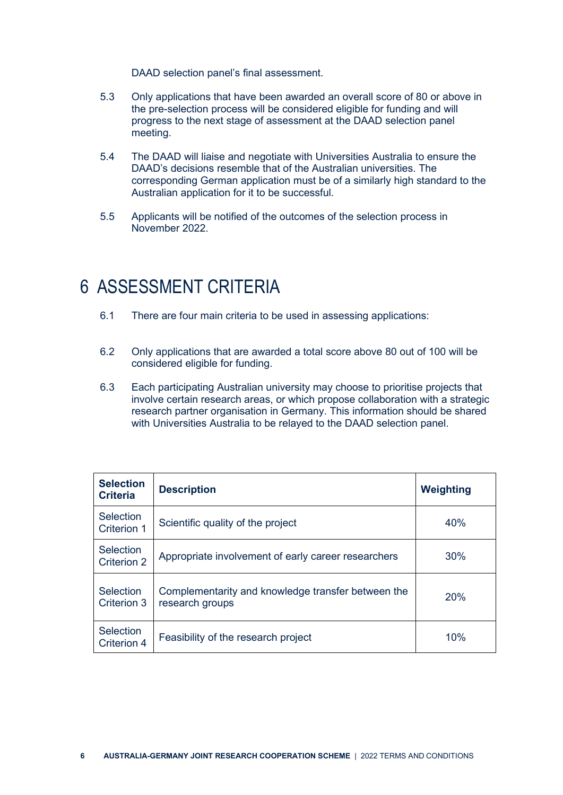DAAD selection panel's final assessment.

- 5.3 Only applications that have been awarded an overall score of 80 or above in the pre-selection process will be considered eligible for funding and will progress to the next stage of assessment at the DAAD selection panel meeting.
- 5.4 The DAAD will liaise and negotiate with Universities Australia to ensure the DAAD's decisions resemble that of the Australian universities. The corresponding German application must be of a similarly high standard to the Australian application for it to be successful.
- 5.5 Applicants will be notified of the outcomes of the selection process in November 2022.

#### 6 ASSESSMENT CRITERIA

- 6.1 There are four main criteria to be used in assessing applications:
- 6.2 Only applications that are awarded a total score above 80 out of 100 will be considered eligible for funding.
- 6.3 Each participating Australian university may choose to prioritise projects that involve certain research areas, or which propose collaboration with a strategic research partner organisation in Germany. This information should be shared with Universities Australia to be relayed to the DAAD selection panel.

| <b>Selection</b><br><b>Criteria</b>    | <b>Description</b>                                                    | <b>Weighting</b> |
|----------------------------------------|-----------------------------------------------------------------------|------------------|
| <b>Selection</b><br>Criterion 1        | Scientific quality of the project                                     | 40%              |
| Selection<br>Criterion 2               | Appropriate involvement of early career researchers                   | 30%              |
| <b>Selection</b><br>Criterion 3        | Complementarity and knowledge transfer between the<br>research groups | 20%              |
| <b>Selection</b><br><b>Criterion 4</b> | Feasibility of the research project                                   | 10%              |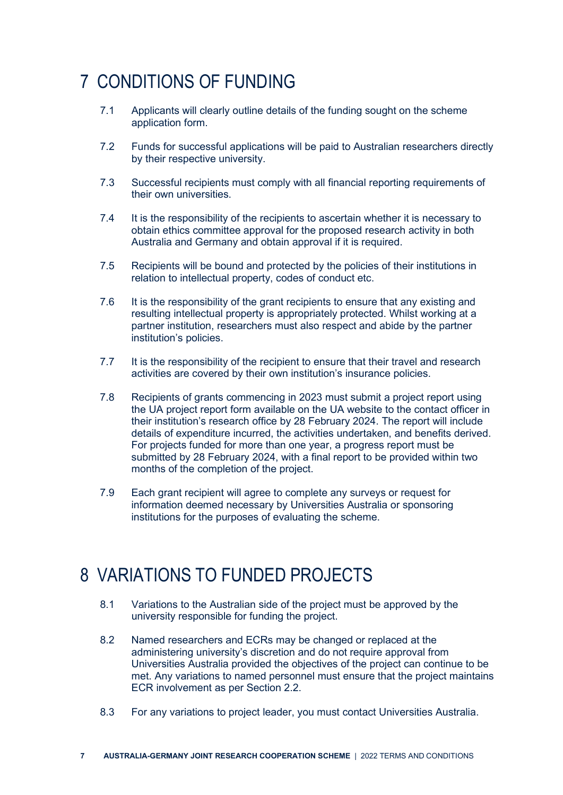# 7 CONDITIONS OF FUNDING

- 7.1 Applicants will clearly outline details of the funding sought on the scheme application form.
- 7.2 Funds for successful applications will be paid to Australian researchers directly by their respective university.
- 7.3 Successful recipients must comply with all financial reporting requirements of their own universities.
- 7.4 It is the responsibility of the recipients to ascertain whether it is necessary to obtain ethics committee approval for the proposed research activity in both Australia and Germany and obtain approval if it is required.
- 7.5 Recipients will be bound and protected by the policies of their institutions in relation to intellectual property, codes of conduct etc.
- 7.6 It is the responsibility of the grant recipients to ensure that any existing and resulting intellectual property is appropriately protected. Whilst working at a partner institution, researchers must also respect and abide by the partner institution's policies.
- 7.7 It is the responsibility of the recipient to ensure that their travel and research activities are covered by their own institution's insurance policies.
- 7.8 Recipients of grants commencing in 2023 must submit a project report using the UA project report form available on the UA website to the contact officer in their institution's research office by 28 February 2024. The report will include details of expenditure incurred, the activities undertaken, and benefits derived. For projects funded for more than one year, a progress report must be submitted by 28 February 2024, with a final report to be provided within two months of the completion of the project.
- 7.9 Each grant recipient will agree to complete any surveys or request for information deemed necessary by Universities Australia or sponsoring institutions for the purposes of evaluating the scheme.

# 8 VARIATIONS TO FUNDED PROJECTS

- 8.1 Variations to the Australian side of the project must be approved by the university responsible for funding the project.
- 8.2 Named researchers and ECRs may be changed or replaced at the administering university's discretion and do not require approval from Universities Australia provided the objectives of the project can continue to be met. Any variations to named personnel must ensure that the project maintains ECR involvement as per Section 2.2.
- 8.3 For any variations to project leader, you must contact Universities Australia.